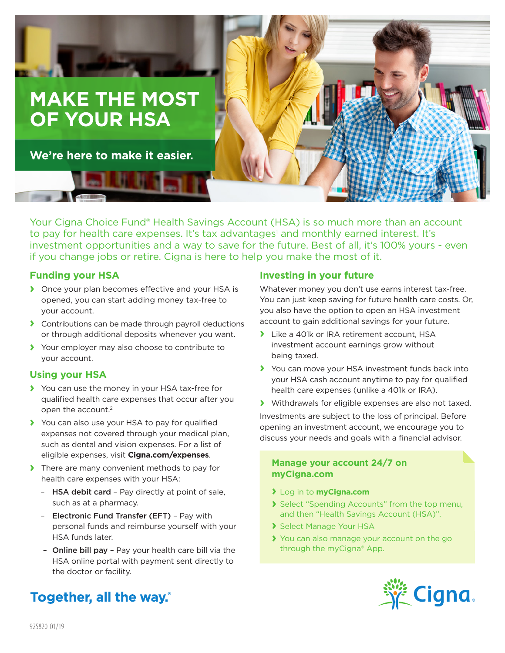

Your Cigna Choice Fund<sup>®</sup> Health Savings Account (HSA) is so much more than an account to pay for health care expenses. It's tax advantages<sup>1</sup> and monthly earned interest. It's investment opportunities and a way to save for the future. Best of all, it's 100% yours - even if you change jobs or retire. Cigna is here to help you make the most of it.

## **Funding your HSA**

- **›** Once your plan becomes effective and your HSA is opened, you can start adding money tax-free to your account.
- **›** Contributions can be made through payroll deductions or through additional deposits whenever you want.
- **›** Your employer may also choose to contribute to your account.

#### **Using your HSA**

- **›** You can use the money in your HSA tax-free for qualified health care expenses that occur after you open the account.2
- **›** You can also use your HSA to pay for qualified expenses not covered through your medical plan, such as dental and vision expenses. For a list of eligible expenses, visit **Cigna.com/expenses**.
- **›** There are many convenient methods to pay for health care expenses with your HSA:
	- HSA debit card Pay directly at point of sale, such as at a pharmacy.
	- Electronic Fund Transfer (EFT) Pay with personal funds and reimburse yourself with your HSA funds later.
	- Online bill pay Pay your health care bill via the HSA online portal with payment sent directly to the doctor or facility.

# Together, all the way.

## **Investing in your future**

Whatever money you don't use earns interest tax-free. You can just keep saving for future health care costs. Or, you also have the option to open an HSA investment account to gain additional savings for your future.

- **›** Like a 401k or IRA retirement account, HSA investment account earnings grow without being taxed.
- **›** You can move your HSA investment funds back into your HSA cash account anytime to pay for qualified health care expenses (unlike a 401k or IRA).
- **›** Withdrawals for eligible expenses are also not taxed.

Investments are subject to the loss of principal. Before opening an investment account, we encourage you to discuss your needs and goals with a financial advisor.

#### **Manage your account 24/7 on myCigna.com**

- **›** Log in to **myCigna.com**
- **›** Select "Spending Accounts" from the top menu, and then "Health Savings Account (HSA)".
- **›** Select Manage Your HSA
- **›** You can also manage your account on the go through the myCigna® App.